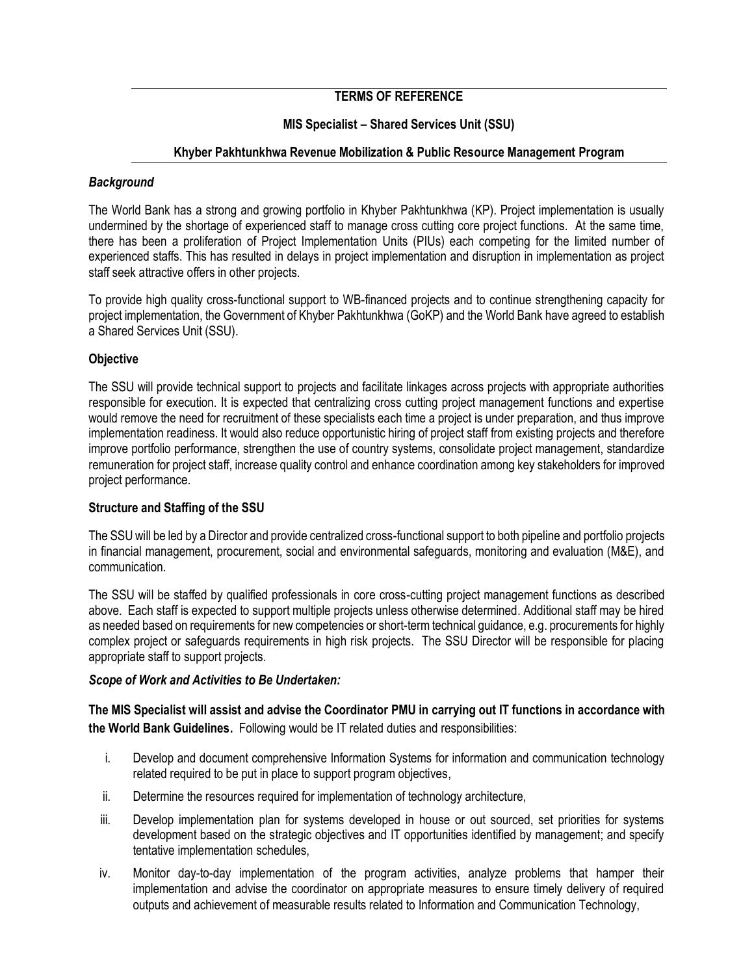# **TERMS OF REFERENCE**

# **MIS Specialist – Shared Services Unit (SSU)**

## **Khyber Pakhtunkhwa Revenue Mobilization & Public Resource Management Program**

## *Background*

The World Bank has a strong and growing portfolio in Khyber Pakhtunkhwa (KP). Project implementation is usually undermined by the shortage of experienced staff to manage cross cutting core project functions. At the same time, there has been a proliferation of Project Implementation Units (PIUs) each competing for the limited number of experienced staffs. This has resulted in delays in project implementation and disruption in implementation as project staff seek attractive offers in other projects.

To provide high quality cross-functional support to WB-financed projects and to continue strengthening capacity for project implementation, the Government of Khyber Pakhtunkhwa (GoKP) and the World Bank have agreed to establish a Shared Services Unit (SSU).

#### **Objective**

The SSU will provide technical support to projects and facilitate linkages across projects with appropriate authorities responsible for execution. It is expected that centralizing cross cutting project management functions and expertise would remove the need for recruitment of these specialists each time a project is under preparation, and thus improve implementation readiness. It would also reduce opportunistic hiring of project staff from existing projects and therefore improve portfolio performance, strengthen the use of country systems, consolidate project management, standardize remuneration for project staff, increase quality control and enhance coordination among key stakeholders for improved project performance.

## **Structure and Staffing of the SSU**

The SSU will be led by a Director and provide centralized cross-functional support to both pipeline and portfolio projects in financial management, procurement, social and environmental safeguards, monitoring and evaluation (M&E), and communication.

The SSU will be staffed by qualified professionals in core cross-cutting project management functions as described above. Each staff is expected to support multiple projects unless otherwise determined. Additional staff may be hired as needed based on requirements for new competencies or short-term technical guidance, e.g. procurements for highly complex project or safeguards requirements in high risk projects. The SSU Director will be responsible for placing appropriate staff to support projects.

#### *Scope of Work and Activities to Be Undertaken:*

**The MIS Specialist will assist and advise the Coordinator PMU in carrying out IT functions in accordance with the World Bank Guidelines.** Following would be IT related duties and responsibilities:

- i. Develop and document comprehensive Information Systems for information and communication technology related required to be put in place to support program objectives,
- ii. Determine the resources required for implementation of technology architecture,
- iii. Develop implementation plan for systems developed in house or out sourced, set priorities for systems development based on the strategic objectives and IT opportunities identified by management; and specify tentative implementation schedules,
- iv. Monitor day-to-day implementation of the program activities, analyze problems that hamper their implementation and advise the coordinator on appropriate measures to ensure timely delivery of required outputs and achievement of measurable results related to Information and Communication Technology,